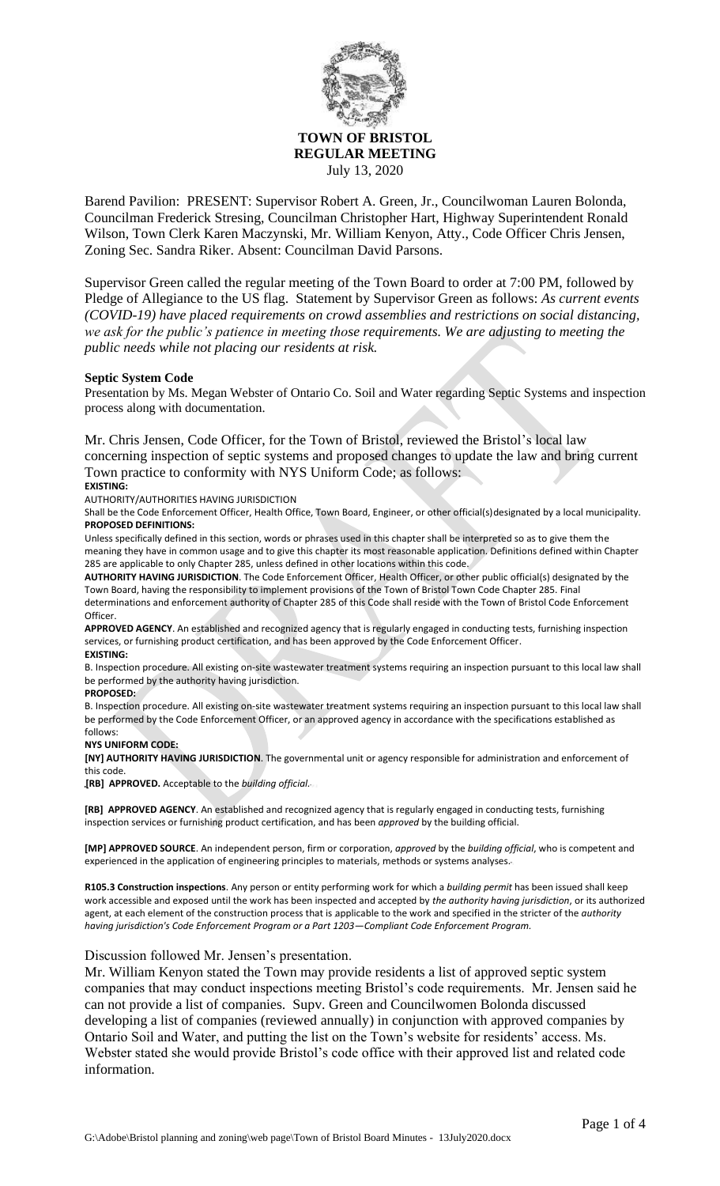

**TOWN OF BRISTOL REGULAR MEETING** July 13, 2020

Barend Pavilion: PRESENT: Supervisor Robert A. Green, Jr., Councilwoman Lauren Bolonda, Councilman Frederick Stresing, Councilman Christopher Hart, Highway Superintendent Ronald Wilson, Town Clerk Karen Maczynski, Mr. William Kenyon, Atty., Code Officer Chris Jensen, Zoning Sec. Sandra Riker. Absent: Councilman David Parsons.

Supervisor Green called the regular meeting of the Town Board to order at 7:00 PM, followed by Pledge of Allegiance to the US flag. Statement by Supervisor Green as follows: *As current events (COVID-19) have placed requirements on crowd assemblies and restrictions on social distancing, we ask for the public's patience in meeting those requirements. We are adjusting to meeting the public needs while not placing our residents at risk.*

#### **Septic System Code**

Presentation by Ms. Megan Webster of Ontario Co. Soil and Water regarding Septic Systems and inspection process along with documentation.

Mr. Chris Jensen, Code Officer, for the Town of Bristol, reviewed the Bristol's local law concerning inspection of septic systems and proposed changes to update the law and bring current Town practice to conformity with NYS Uniform Code; as follows:

#### **EXISTING:**

AUTHORITY/AUTHORITIES HAVING JURISDICTION

Shall be the Code Enforcement Officer, Health Office, Town Board, Engineer, or other official(s)designated by a local municipality. **PROPOSED DEFINITIONS:**

Unless specifically defined in this section, words or phrases used in this chapter shall be interpreted so as to give them the meaning they have in common usage and to give this chapter its most reasonable application. Definitions defined within Chapter 285 are applicable to only Chapter 285, unless defined in other locations within this code.

**AUTHORITY HAVING JURISDICTION**. The Code Enforcement Officer, Health Officer, or other public official(s) designated by the Town Board, having the responsibility to implement provisions of the Town of Bristol Town Code Chapter 285. Final determinations and enforcement authority of Chapter 285 of this Code shall reside with the Town of Bristol Code Enforcement Officer.

**APPROVED AGENCY**. An established and recognized agency that is regularly engaged in conducting tests, furnishing inspection services, or furnishing product certification, and has been approved by the Code Enforcement Officer.

#### **EXISTING:**

B. Inspection procedure. All existing on-site wastewater treatment systems requiring an inspection pursuant to this local law shall be performed by the authority having jurisdiction.

#### **PROPOSED:**

B. Inspection procedure. All existing on-site wastewater treatment systems requiring an inspection pursuant to this local law shall be performed by the Code Enforcement Officer, or an approved agency in accordance with the specifications established as follows:

#### **NYS UNIFORM CODE:**

**[NY] AUTHORITY HAVING JURISDICTION**. The governmental unit or agency responsible for administration and enforcement of this code.

**[RB] APPROVED.** Acceptable to the *building official.*

**[RB] APPROVED AGENCY**. An established and recognized agency that is regularly engaged in conducting tests, furnishing inspection services or furnishing product certification, and has been *approved* by the building official.

**[MP] APPROVED SOURCE**. An independent person, firm or corporation, *approved* by the *building official*, who is competent and experienced in the application of engineering principles to materials, methods or systems analyses.

**R105.3 Construction inspections**. Any person or entity performing work for which a *building permit* has been issued shall keep work accessible and exposed until the work has been inspected and accepted by *the authority having jurisdiction*, or its authorized agent, at each element of the construction process that is applicable to the work and specified in the stricter of the *authority having jurisdiction's Code Enforcement Program or a Part 1203—Compliant Code Enforcement Program.*

### Discussion followed Mr. Jensen's presentation.

Mr. William Kenyon stated the Town may provide residents a list of approved septic system companies that may conduct inspections meeting Bristol's code requirements. Mr. Jensen said he can not provide a list of companies. Supv. Green and Councilwomen Bolonda discussed developing a list of companies (reviewed annually) in conjunction with approved companies by Ontario Soil and Water, and putting the list on the Town's website for residents' access. Ms. Webster stated she would provide Bristol's code office with their approved list and related code information.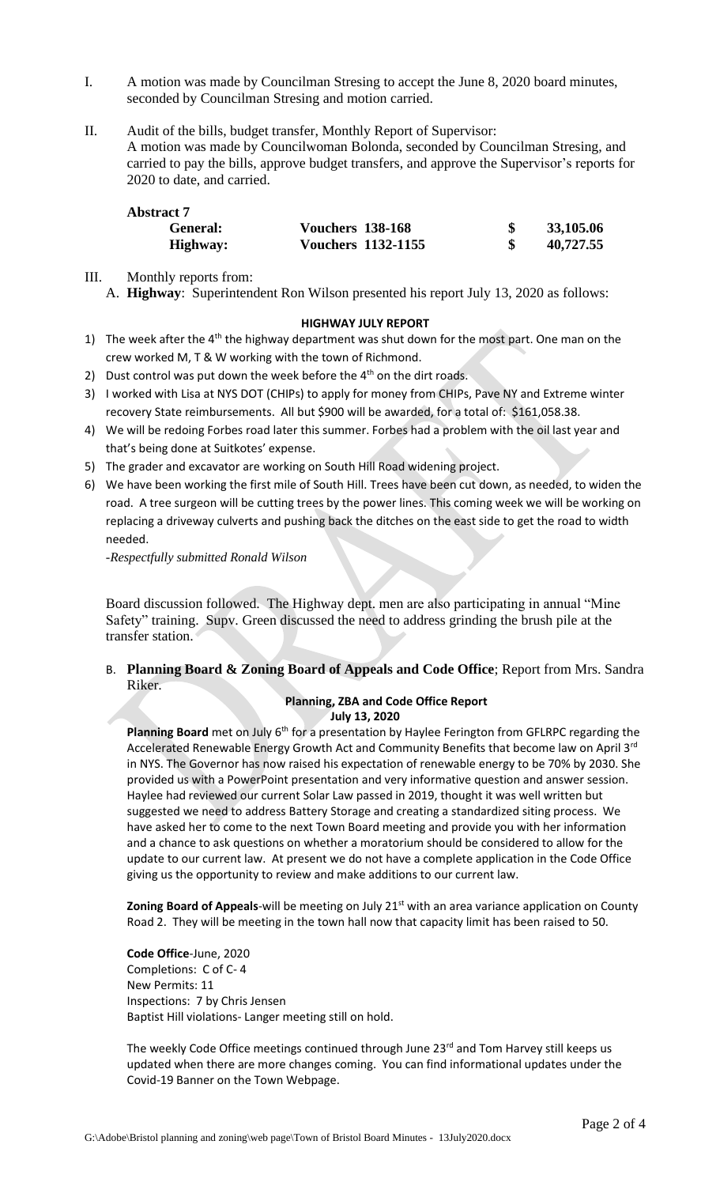- I. A motion was made by Councilman Stresing to accept the June 8, 2020 board minutes, seconded by Councilman Stresing and motion carried.
- II. Audit of the bills, budget transfer, Monthly Report of Supervisor: A motion was made by Councilwoman Bolonda, seconded by Councilman Stresing, and carried to pay the bills, approve budget transfers, and approve the Supervisor's reports for 2020 to date, and carried.

| <b>Abstract 7</b> |                           |           |
|-------------------|---------------------------|-----------|
| General:          | <b>Vouchers 138-168</b>   | 33,105.06 |
| Highway:          | <b>Vouchers 1132-1155</b> | 40,727.55 |

- III. Monthly reports from:
	- A. **Highway**: Superintendent Ron Wilson presented his report July 13, 2020 as follows:

### **HIGHWAY JULY REPORT**

- 1) The week after the  $4<sup>th</sup>$  the highway department was shut down for the most part. One man on the crew worked M, T & W working with the town of Richmond.
- 2) Dust control was put down the week before the  $4<sup>th</sup>$  on the dirt roads.
- 3) I worked with Lisa at NYS DOT (CHIPs) to apply for money from CHIPs, Pave NY and Extreme winter recovery State reimbursements. All but \$900 will be awarded, for a total of: \$161,058.38.
- 4) We will be redoing Forbes road later this summer. Forbes had a problem with the oil last year and that's being done at Suitkotes' expense.
- 5) The grader and excavator are working on South Hill Road widening project.
- 6) We have been working the first mile of South Hill. Trees have been cut down, as needed, to widen the road. A tree surgeon will be cutting trees by the power lines. This coming week we will be working on replacing a driveway culverts and pushing back the ditches on the east side to get the road to width needed.

*-Respectfully submitted Ronald Wilson*

Board discussion followed. The Highway dept. men are also participating in annual "Mine Safety" training. Supv. Green discussed the need to address grinding the brush pile at the transfer station.

B. **Planning Board & Zoning Board of Appeals and Code Office**; Report from Mrs. Sandra Riker.

#### **Planning, ZBA and Code Office Report July 13, 2020**

Planning Board met on July 6<sup>th</sup> for a presentation by Haylee Ferington from GFLRPC regarding the Accelerated Renewable Energy Growth Act and Community Benefits that become law on April 3<sup>rd</sup> in NYS. The Governor has now raised his expectation of renewable energy to be 70% by 2030. She provided us with a PowerPoint presentation and very informative question and answer session. Haylee had reviewed our current Solar Law passed in 2019, thought it was well written but suggested we need to address Battery Storage and creating a standardized siting process. We have asked her to come to the next Town Board meeting and provide you with her information and a chance to ask questions on whether a moratorium should be considered to allow for the update to our current law. At present we do not have a complete application in the Code Office giving us the opportunity to review and make additions to our current law.

**Zoning Board of Appeals-will be meeting on July 21<sup>st</sup> with an area variance application on County** Road 2. They will be meeting in the town hall now that capacity limit has been raised to 50.

**Code Office**-June, 2020 Completions: C of C- 4 New Permits: 11 Inspections: 7 by Chris Jensen Baptist Hill violations- Langer meeting still on hold.

The weekly Code Office meetings continued through June 23rd and Tom Harvey still keeps us updated when there are more changes coming. You can find informational updates under the Covid-19 Banner on the Town Webpage.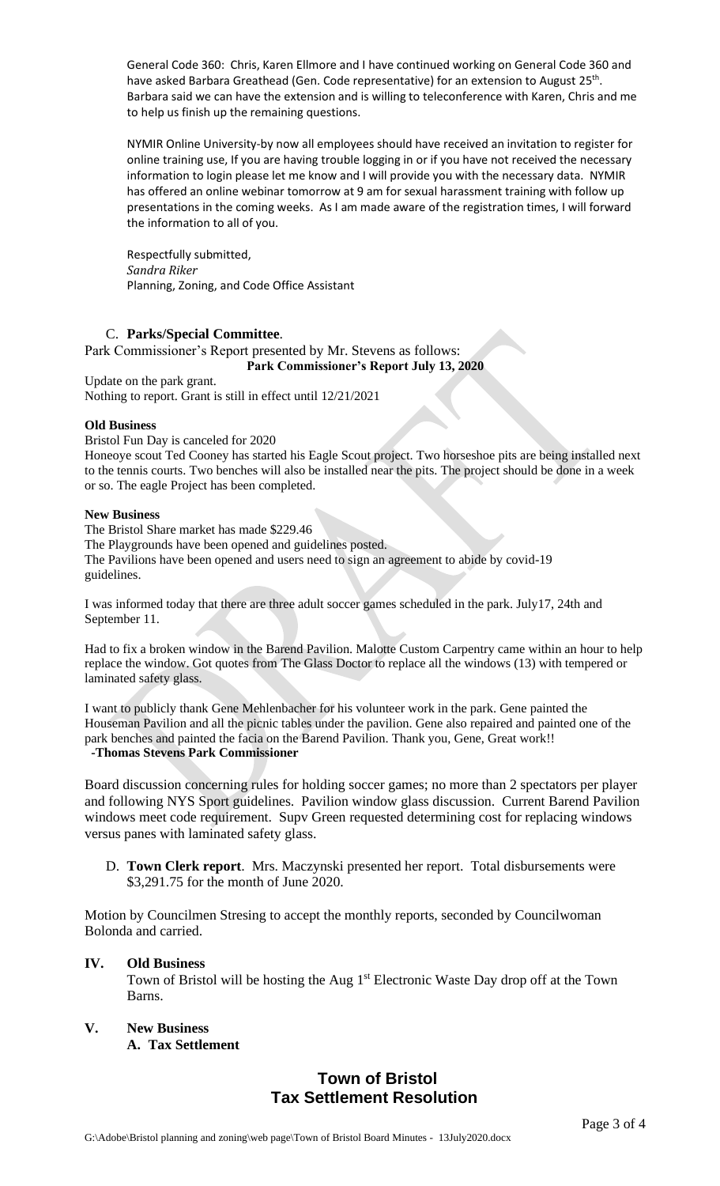General Code 360: Chris, Karen Ellmore and I have continued working on General Code 360 and have asked Barbara Greathead (Gen. Code representative) for an extension to August 25<sup>th</sup>. Barbara said we can have the extension and is willing to teleconference with Karen, Chris and me to help us finish up the remaining questions.

NYMIR Online University-by now all employees should have received an invitation to register for online training use, If you are having trouble logging in or if you have not received the necessary information to login please let me know and I will provide you with the necessary data. NYMIR has offered an online webinar tomorrow at 9 am for sexual harassment training with follow up presentations in the coming weeks. As I am made aware of the registration times, I will forward the information to all of you.

Respectfully submitted, *Sandra Riker* Planning, Zoning, and Code Office Assistant

## C. **Parks/Special Committee**.

Park Commissioner's Report presented by Mr. Stevens as follows: **Park Commissioner's Report July 13, 2020**

Update on the park grant. Nothing to report. Grant is still in effect until 12/21/2021

## **Old Business**

Bristol Fun Day is canceled for 2020

Honeoye scout Ted Cooney has started his Eagle Scout project. Two horseshoe pits are being installed next to the tennis courts. Two benches will also be installed near the pits. The project should be done in a week or so. The eagle Project has been completed.

### **New Business**

The Bristol Share market has made \$229.46 The Playgrounds have been opened and guidelines posted. The Pavilions have been opened and users need to sign an agreement to abide by covid-19 guidelines.

I was informed today that there are three adult soccer games scheduled in the park. July17, 24th and September 11.

Had to fix a broken window in the Barend Pavilion. Malotte Custom Carpentry came within an hour to help replace the window. Got quotes from The Glass Doctor to replace all the windows (13) with tempered or laminated safety glass.

I want to publicly thank Gene Mehlenbacher for his volunteer work in the park. Gene painted the Houseman Pavilion and all the picnic tables under the pavilion. Gene also repaired and painted one of the park benches and painted the facia on the Barend Pavilion. Thank you, Gene, Great work!!  **-Thomas Stevens Park Commissioner** 

Board discussion concerning rules for holding soccer games; no more than 2 spectators per player and following NYS Sport guidelines. Pavilion window glass discussion. Current Barend Pavilion windows meet code requirement. Supv Green requested determining cost for replacing windows versus panes with laminated safety glass.

D. **Town Clerk report**. Mrs. Maczynski presented her report. Total disbursements were \$3,291.75 for the month of June 2020.

Motion by Councilmen Stresing to accept the monthly reports, seconded by Councilwoman Bolonda and carried.

## **IV. Old Business**

Town of Bristol will be hosting the Aug 1<sup>st</sup> Electronic Waste Day drop off at the Town Barns.

**V. New Business A. Tax Settlement**

# **Town of Bristol Tax Settlement Resolution**